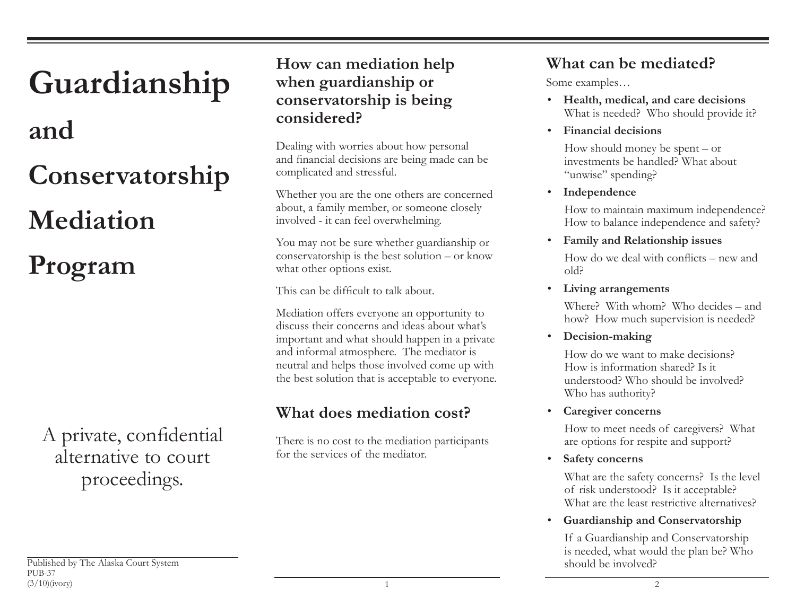# **and Conservatorship Mediation Program**

**Guardianship**

A private, confidential alternative to court proceedings.

## **How can mediation help when guardianship or conservatorship is being considered?**

Dealing with worries about how personal and financial decisions are being made can be complicated and stressful.

Whether you are the one others are concerned about, a family member, or someone closely involved - it can feel overwhelming.

You may not be sure whether guardianship or conservatorship is the best solution – or know what other options exist.

This can be difficult to talk about.

Mediation offers everyone an opportunity to discuss their concerns and ideas about what's important and what should happen in a private and informal atmosphere. The mediator is neutral and helps those involved come up with the best solution that is acceptable to everyone.

# **What does mediation cost?**

There is no cost to the mediation participants for the services of the mediator.

# **What can be mediated?**

Some examples…

- **Health, medical, and care decisions** What is needed? Who should provide it?
- **Financial decisions**

How should money be spent – or investments be handled? What about "unwise" spending?

• **Independence**

How to maintain maximum independence? How to balance independence and safety?

• **Family and Relationship issues**

How do we deal with conflicts – new and old?

• **Living arrangements**

Where? With whom? Who decides – and how? How much supervision is needed?

• **Decision-making**

How do we want to make decisions?How is information shared? Is it understood? Who should be involved? Who has authority?

• **Caregiver concerns**

How to meet needs of caregivers? What are options for respite and support?

• **Safety concerns** 

What are the safety concerns? Is the level of risk understood? Is it acceptable? What are the least restrictive alternatives?

• **Guardianship and Conservatorship**

If a Guardianship and Conservatorship is needed, what would the plan be? Who should be involved?